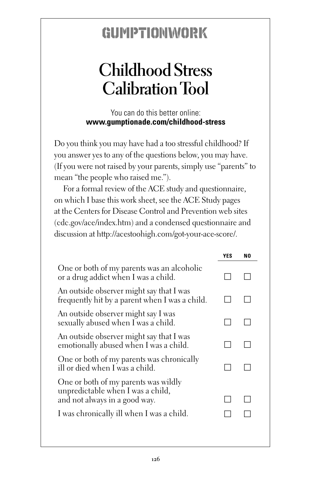## GUMPTIONWORK

## **Childhood Stress Calibration Tool**

You can do this better online: **www.gumptionade.com/childhood-stress**

Do you think you may have had a too stressful childhood? If you answer yes to any of the questions below, you may have. (If you were not raised by your parents, simply use "parents" to mean "the people who raised me.").

For a formal review of the ACE study and questionnaire, on which I base this work sheet, see the ACE Study pages at the Centers for Disease Control and Prevention web sites (cdc.gov/ace/index.htm) and a condensed questionnaire and discussion at http://acestoohigh.com/got-your-ace-score/.

|                                                                                                            | YES | N0 |
|------------------------------------------------------------------------------------------------------------|-----|----|
| One or both of my parents was an alcoholic<br>or a drug addict when I was a child.                         |     |    |
| An outside observer might say that I was<br>frequently hit by a parent when I was a child.                 |     |    |
| An outside observer might say I was<br>sexually abused when I was a child.                                 |     |    |
| An outside observer might say that I was<br>emotionally abused when I was a child.                         |     |    |
| One or both of my parents was chronically<br>ill or died when I was a child.                               |     |    |
| One or both of my parents was wildly<br>unpredictable when I was a child,<br>and not always in a good way. |     |    |
| I was chronically ill when I was a child.                                                                  |     |    |
|                                                                                                            |     |    |
|                                                                                                            |     |    |